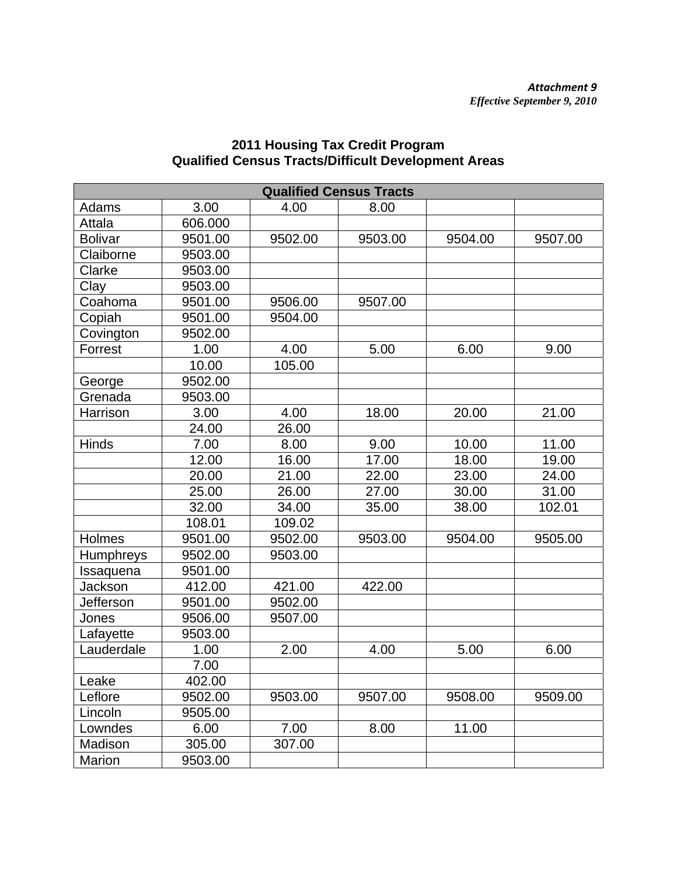## **Qualified Census Tracts**  Adams | 3.00 | 4.00 | 8.00 Attala 606.000 Bolivar 9501.00 9502.00 9503.00 9504.00 9507.00 Claiborne | 9503.00 Clarke 9503.00 Clay 9503.00 Coahoma | 9501.00 | 9506.00 | 9507.00 Copiah 9501.00 9504.00 Covington 9502.00 Forrest | 1.00 | 4.00 | 5.00 | 6.00 | 9.00 10.00 105.00 George | 9502.00 Grenada 9503.00 Harrison | 3.00 | 4.00 | 18.00 | 20.00 | 21.00 24.00 26.00 Hinds 7.00 8.00 9.00 10.00 11.00 | 12.00 | 16.00 | 17.00 | 18.00 | 19.00  $\begin{array}{|c|c|c|c|c|c|c|c|c|} \hline \rule{0.2cm}{0.2cm} & 20.00 & \Big| & 21.00 & \Big| & 22.00 & \Big| & 23.00 & \Big| & 24.00 \ \hline \end{array}$  $\begin{array}{|c|c|c|c|c|c|c|c|c|} \hline \rule{0.2cm}{0.2cm} & 25.00 & \quad| & 26.00 & \quad| & 27.00 & \quad| & 30.00 & \quad| & 31.00 \ \hline \end{array}$  32.00 34.00 35.00 38.00 102.01 108.01 109.02 Holmes 9501.00 9502.00 9503.00 9504.00 9505.00 Humphreys 9502.00 9503.00  $Issaquena$   $9501.00$ Jackson 412.00 421.00 422.00 Jefferson 9501.00 9502.00 Jones 9506.00 9507.00 Lafayette | 9503.00 Lauderdale 1.00 2.00 4.00 5.00 6.00 7.00 Leake | 402.00 Leflore | 9502.00 | 9503.00 | 9507.00 | 9508.00 | 9509.00 Lincoln 9505.00 Lowndes | 6.00 | 7.00 | 8.00 | 11.00 Madison | 305.00 | 307.00 Marion | 9503.00

## **2011 Housing Tax Credit Program Qualified Census Tracts/Difficult Development Areas**